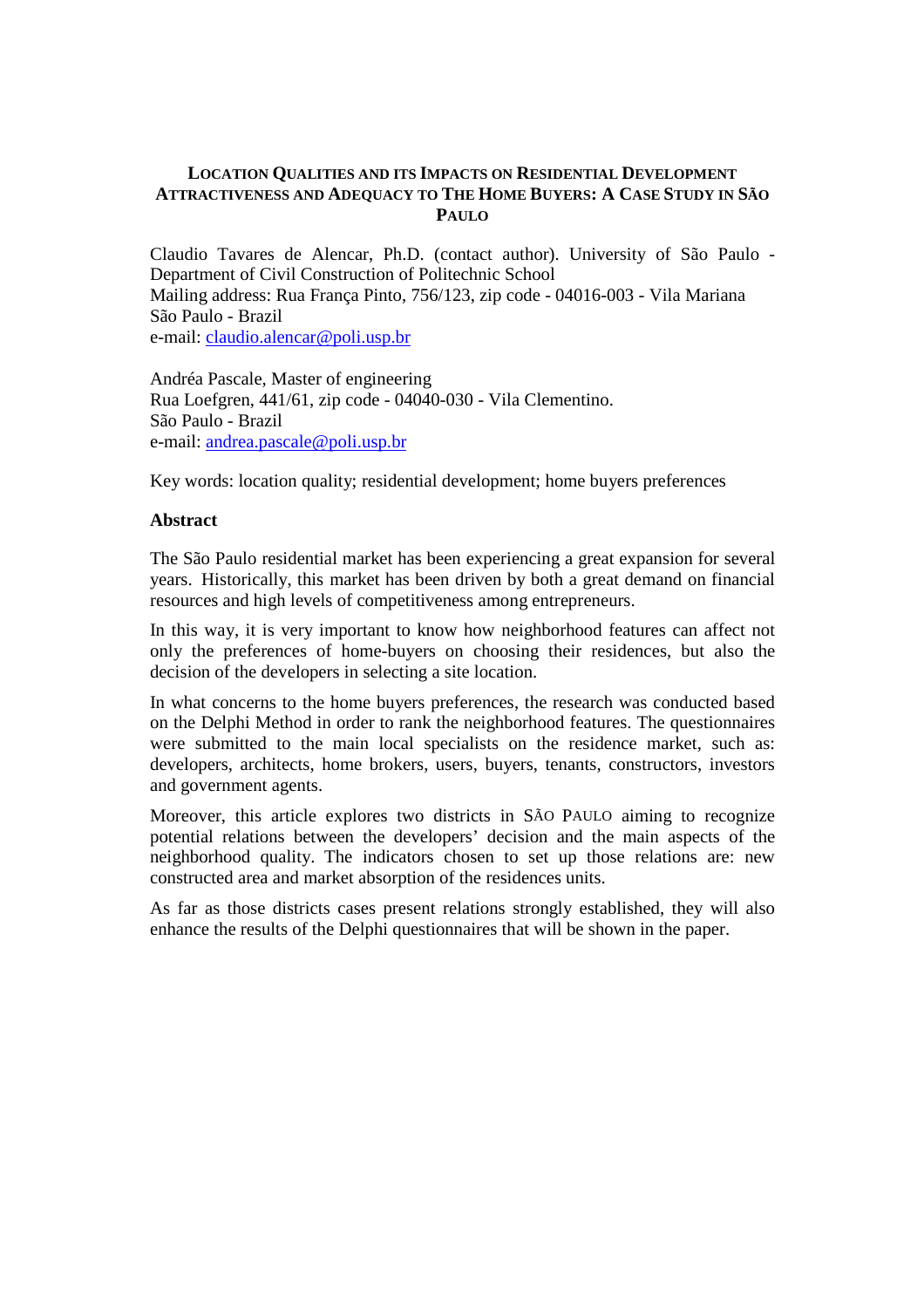# **LOCATION QUALITIES AND ITS IMPACTS ON RESIDENTIAL DEVELOPMENT ATTRACTIVENESS AND ADEQUACY TO THE HOME BUYERS: A CASE STUDY IN SÃO PAULO**

Claudio Tavares de Alencar, Ph.D. (contact author). University of São Paulo - Department of Civil Construction of Politechnic School Mailing address: Rua França Pinto, 756/123, zip code - 04016-003 - Vila Mariana São Paulo - Brazil e-mail: claudio.alencar@poli.usp.br

Andréa Pascale, Master of engineering Rua Loefgren, 441/61, zip code - 04040-030 - Vila Clementino. São Paulo - Brazil e-mail: andrea.pascale@poli.usp.br

Key words: location quality; residential development; home buyers preferences

# **Abstract**

The São Paulo residential market has been experiencing a great expansion for several years. Historically, this market has been driven by both a great demand on financial resources and high levels of competitiveness among entrepreneurs.

In this way, it is very important to know how neighborhood features can affect not only the preferences of home-buyers on choosing their residences, but also the decision of the developers in selecting a site location.

In what concerns to the home buyers preferences, the research was conducted based on the Delphi Method in order to rank the neighborhood features. The questionnaires were submitted to the main local specialists on the residence market, such as: developers, architects, home brokers, users, buyers, tenants, constructors, investors and government agents.

Moreover, this article explores two districts in SÃO PAULO aiming to recognize potential relations between the developers' decision and the main aspects of the neighborhood quality. The indicators chosen to set up those relations are: new constructed area and market absorption of the residences units.

As far as those districts cases present relations strongly established, they will also enhance the results of the Delphi questionnaires that will be shown in the paper.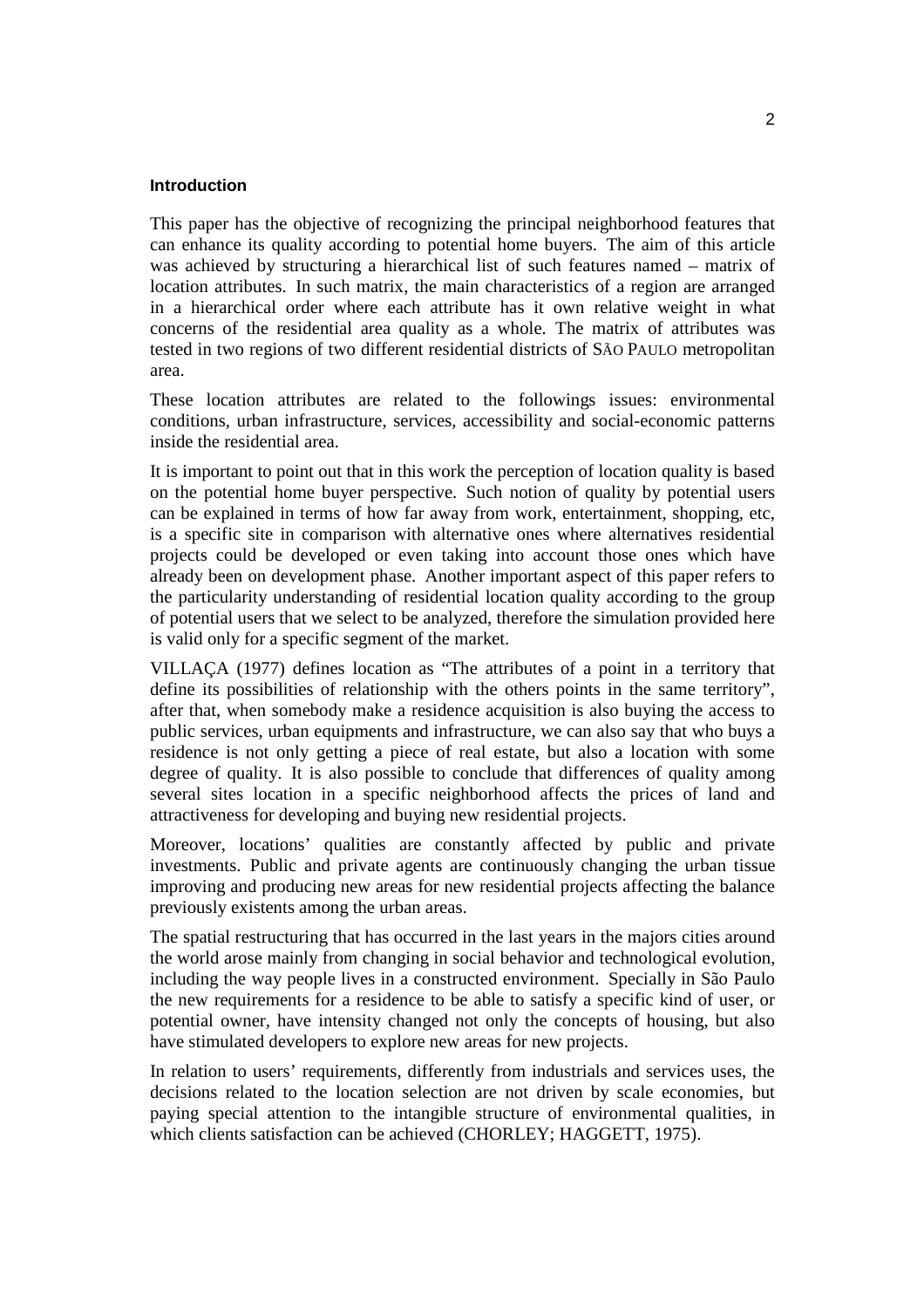### **Introduction**

This paper has the objective of recognizing the principal neighborhood features that can enhance its quality according to potential home buyers. The aim of this article was achieved by structuring a hierarchical list of such features named – matrix of location attributes. In such matrix, the main characteristics of a region are arranged in a hierarchical order where each attribute has it own relative weight in what concerns of the residential area quality as a whole. The matrix of attributes was tested in two regions of two different residential districts of SÃO PAULO metropolitan area.

These location attributes are related to the followings issues: environmental conditions, urban infrastructure, services, accessibility and social-economic patterns inside the residential area.

It is important to point out that in this work the perception of location quality is based on the potential home buyer perspective. Such notion of quality by potential users can be explained in terms of how far away from work, entertainment, shopping, etc, is a specific site in comparison with alternative ones where alternatives residential projects could be developed or even taking into account those ones which have already been on development phase. Another important aspect of this paper refers to the particularity understanding of residential location quality according to the group of potential users that we select to be analyzed, therefore the simulation provided here is valid only for a specific segment of the market.

VILLAÇA (1977) defines location as "The attributes of a point in a territory that define its possibilities of relationship with the others points in the same territory", after that, when somebody make a residence acquisition is also buying the access to public services, urban equipments and infrastructure, we can also say that who buys a residence is not only getting a piece of real estate, but also a location with some degree of quality. It is also possible to conclude that differences of quality among several sites location in a specific neighborhood affects the prices of land and attractiveness for developing and buying new residential projects.

Moreover, locations' qualities are constantly affected by public and private investments. Public and private agents are continuously changing the urban tissue improving and producing new areas for new residential projects affecting the balance previously existents among the urban areas.

The spatial restructuring that has occurred in the last years in the majors cities around the world arose mainly from changing in social behavior and technological evolution, including the way people lives in a constructed environment. Specially in São Paulo the new requirements for a residence to be able to satisfy a specific kind of user, or potential owner, have intensity changed not only the concepts of housing, but also have stimulated developers to explore new areas for new projects.

In relation to users' requirements, differently from industrials and services uses, the decisions related to the location selection are not driven by scale economies, but paying special attention to the intangible structure of environmental qualities, in which clients satisfaction can be achieved (CHORLEY; HAGGETT, 1975).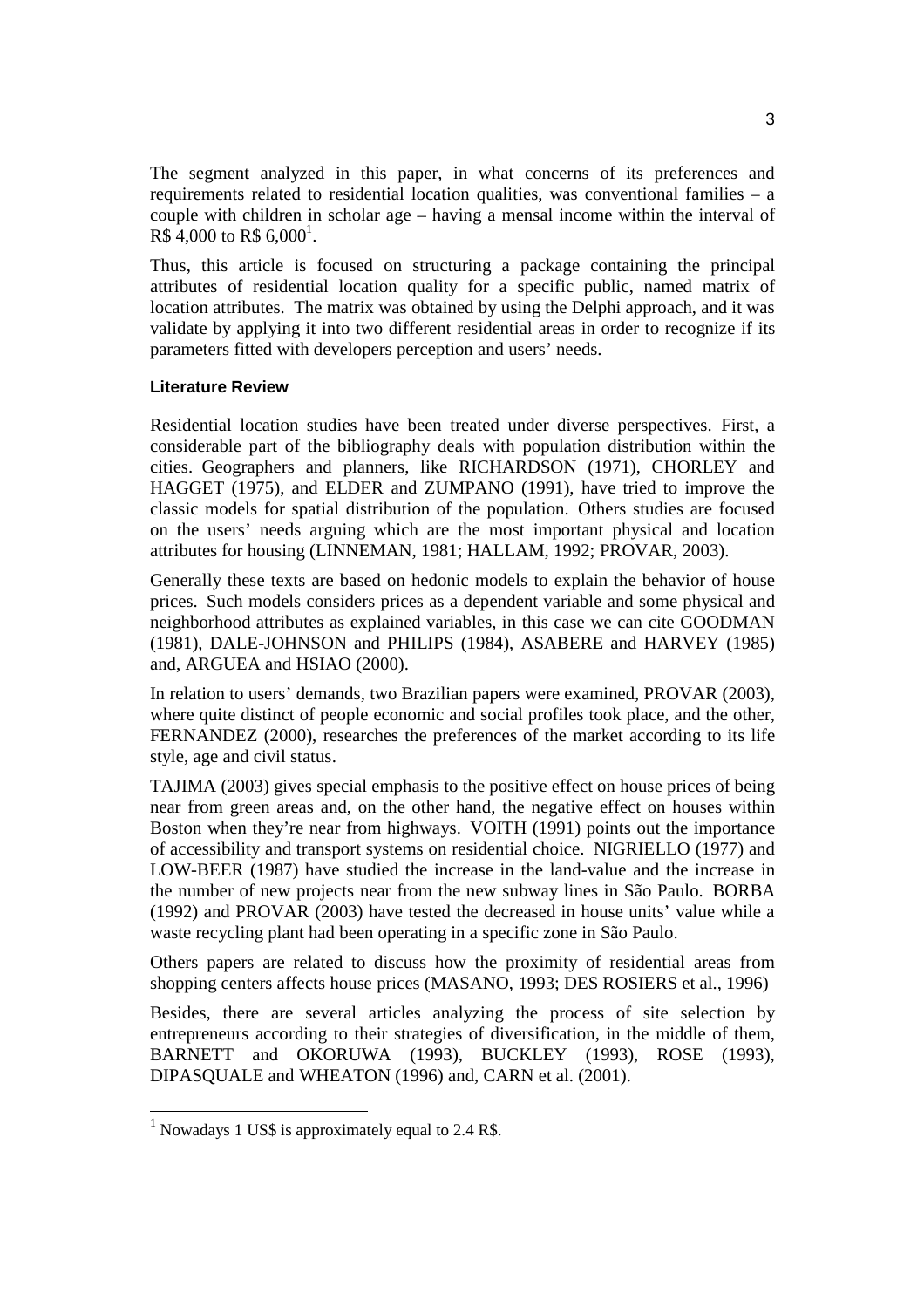The segment analyzed in this paper, in what concerns of its preferences and requirements related to residential location qualities, was conventional families – a couple with children in scholar age – having a mensal income within the interval of  $R\$  4,000 to R\$ 6,000<sup>1</sup>.

Thus, this article is focused on structuring a package containing the principal attributes of residential location quality for a specific public, named matrix of location attributes. The matrix was obtained by using the Delphi approach, and it was validate by applying it into two different residential areas in order to recognize if its parameters fitted with developers perception and users' needs.

# **Literature Review**

Residential location studies have been treated under diverse perspectives. First, a considerable part of the bibliography deals with population distribution within the cities. Geographers and planners, like RICHARDSON (1971), CHORLEY and HAGGET (1975), and ELDER and ZUMPANO (1991), have tried to improve the classic models for spatial distribution of the population. Others studies are focused on the users' needs arguing which are the most important physical and location attributes for housing (LINNEMAN, 1981; HALLAM, 1992; PROVAR, 2003).

Generally these texts are based on hedonic models to explain the behavior of house prices. Such models considers prices as a dependent variable and some physical and neighborhood attributes as explained variables, in this case we can cite GOODMAN (1981), DALE-JOHNSON and PHILIPS (1984), ASABERE and HARVEY (1985) and, ARGUEA and HSIAO (2000).

In relation to users' demands, two Brazilian papers were examined, PROVAR (2003), where quite distinct of people economic and social profiles took place, and the other, FERNANDEZ (2000), researches the preferences of the market according to its life style, age and civil status.

TAJIMA (2003) gives special emphasis to the positive effect on house prices of being near from green areas and, on the other hand, the negative effect on houses within Boston when they're near from highways. VOITH (1991) points out the importance of accessibility and transport systems on residential choice. NIGRIELLO (1977) and LOW-BEER (1987) have studied the increase in the land-value and the increase in the number of new projects near from the new subway lines in São Paulo. BORBA (1992) and PROVAR (2003) have tested the decreased in house units' value while a waste recycling plant had been operating in a specific zone in São Paulo.

Others papers are related to discuss how the proximity of residential areas from shopping centers affects house prices (MASANO, 1993; DES ROSIERS et al., 1996)

Besides, there are several articles analyzing the process of site selection by entrepreneurs according to their strategies of diversification, in the middle of them, BARNETT and OKORUWA (1993), BUCKLEY (1993), ROSE (1993), DIPASQUALE and WHEATON (1996) and, CARN et al. (2001).

1

<sup>&</sup>lt;sup>1</sup> Nowadays 1 US\$ is approximately equal to 2.4 R\$.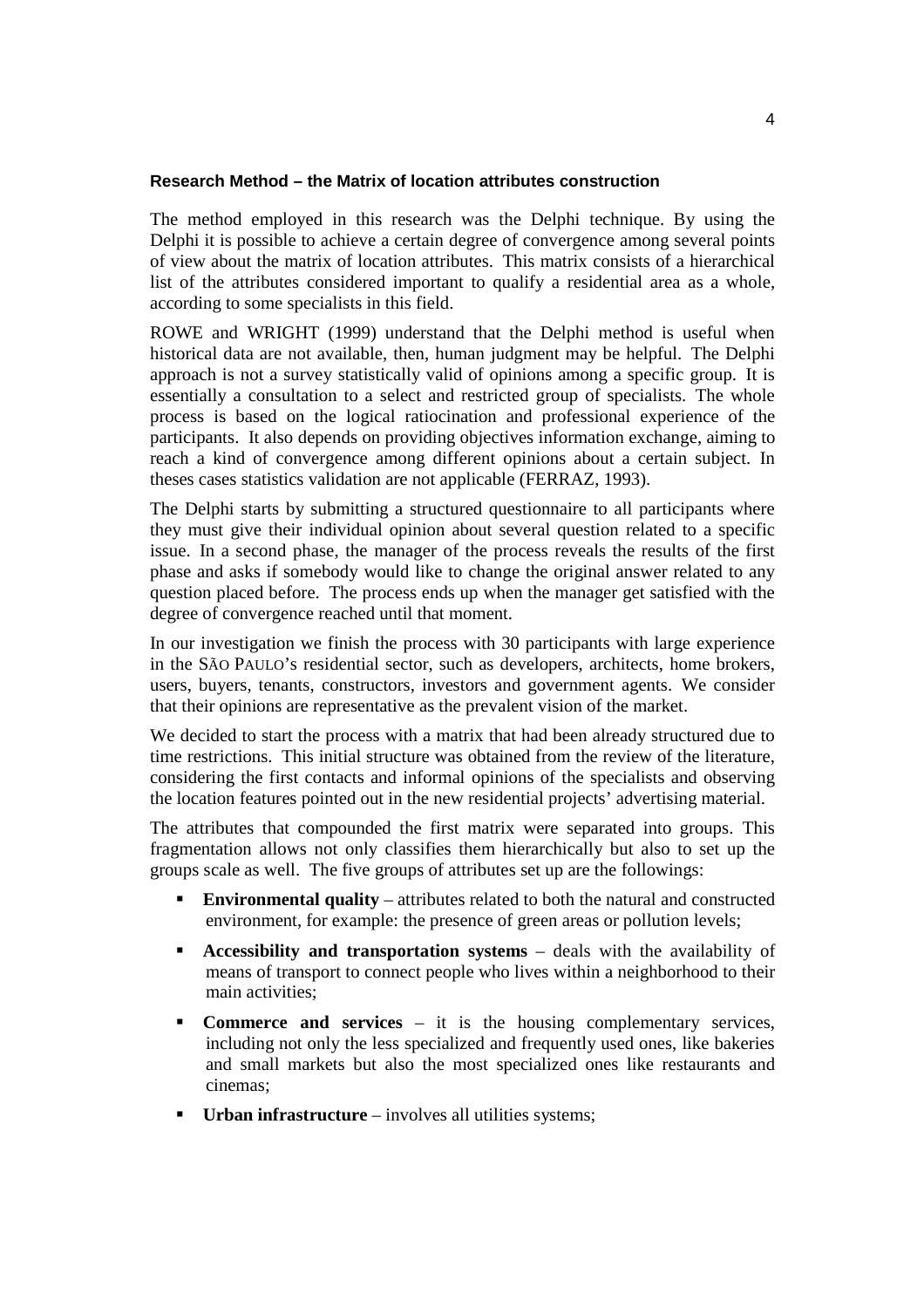# **Research Method – the Matrix of location attributes construction**

The method employed in this research was the Delphi technique. By using the Delphi it is possible to achieve a certain degree of convergence among several points of view about the matrix of location attributes. This matrix consists of a hierarchical list of the attributes considered important to qualify a residential area as a whole, according to some specialists in this field.

ROWE and WRIGHT (1999) understand that the Delphi method is useful when historical data are not available, then, human judgment may be helpful. The Delphi approach is not a survey statistically valid of opinions among a specific group. It is essentially a consultation to a select and restricted group of specialists. The whole process is based on the logical ratiocination and professional experience of the participants. It also depends on providing objectives information exchange, aiming to reach a kind of convergence among different opinions about a certain subject. In theses cases statistics validation are not applicable (FERRAZ, 1993).

The Delphi starts by submitting a structured questionnaire to all participants where they must give their individual opinion about several question related to a specific issue. In a second phase, the manager of the process reveals the results of the first phase and asks if somebody would like to change the original answer related to any question placed before. The process ends up when the manager get satisfied with the degree of convergence reached until that moment.

In our investigation we finish the process with 30 participants with large experience in the SÃO PAULO's residential sector, such as developers, architects, home brokers, users, buyers, tenants, constructors, investors and government agents. We consider that their opinions are representative as the prevalent vision of the market.

We decided to start the process with a matrix that had been already structured due to time restrictions. This initial structure was obtained from the review of the literature, considering the first contacts and informal opinions of the specialists and observing the location features pointed out in the new residential projects' advertising material.

The attributes that compounded the first matrix were separated into groups. This fragmentation allows not only classifies them hierarchically but also to set up the groups scale as well. The five groups of attributes set up are the followings:

- ! **Environmental quality** attributes related to both the natural and constructed environment, for example: the presence of green areas or pollution levels;
- ! **Accessibility and transportation systems** deals with the availability of means of transport to connect people who lives within a neighborhood to their main activities;
- ! **Commerce and services** it is the housing complementary services, including not only the less specialized and frequently used ones, like bakeries and small markets but also the most specialized ones like restaurants and cinemas;
- **Urban infrastructure** involves all utilities systems;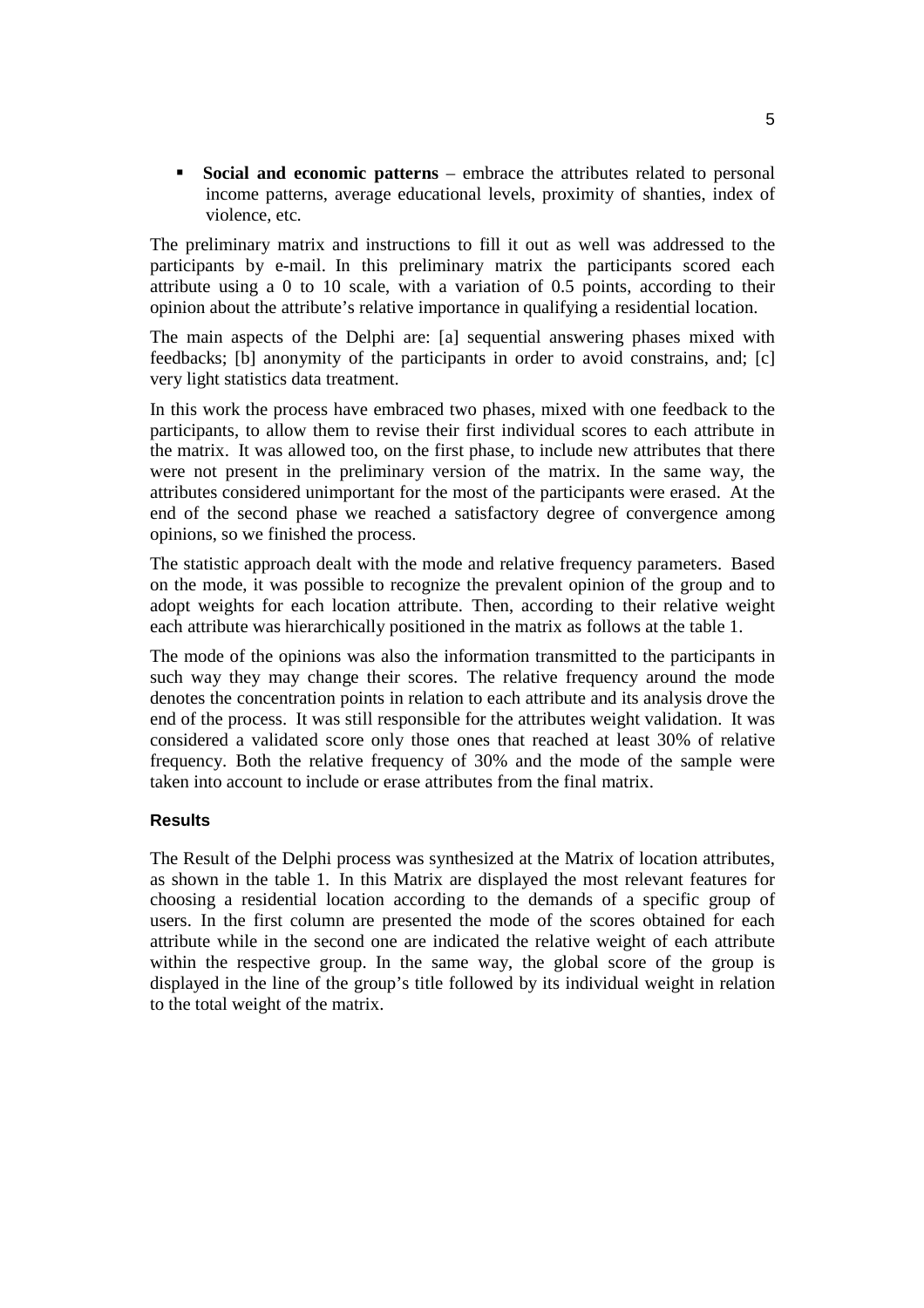! **Social and economic patterns** – embrace the attributes related to personal income patterns, average educational levels, proximity of shanties, index of violence, etc.

The preliminary matrix and instructions to fill it out as well was addressed to the participants by e-mail. In this preliminary matrix the participants scored each attribute using a 0 to 10 scale, with a variation of 0.5 points, according to their opinion about the attribute's relative importance in qualifying a residential location.

The main aspects of the Delphi are: [a] sequential answering phases mixed with feedbacks; [b] anonymity of the participants in order to avoid constrains, and; [c] very light statistics data treatment.

In this work the process have embraced two phases, mixed with one feedback to the participants, to allow them to revise their first individual scores to each attribute in the matrix. It was allowed too, on the first phase, to include new attributes that there were not present in the preliminary version of the matrix. In the same way, the attributes considered unimportant for the most of the participants were erased. At the end of the second phase we reached a satisfactory degree of convergence among opinions, so we finished the process.

The statistic approach dealt with the mode and relative frequency parameters. Based on the mode, it was possible to recognize the prevalent opinion of the group and to adopt weights for each location attribute. Then, according to their relative weight each attribute was hierarchically positioned in the matrix as follows at the table 1.

The mode of the opinions was also the information transmitted to the participants in such way they may change their scores. The relative frequency around the mode denotes the concentration points in relation to each attribute and its analysis drove the end of the process. It was still responsible for the attributes weight validation. It was considered a validated score only those ones that reached at least 30% of relative frequency. Both the relative frequency of 30% and the mode of the sample were taken into account to include or erase attributes from the final matrix.

### **Results**

The Result of the Delphi process was synthesized at the Matrix of location attributes, as shown in the table 1. In this Matrix are displayed the most relevant features for choosing a residential location according to the demands of a specific group of users. In the first column are presented the mode of the scores obtained for each attribute while in the second one are indicated the relative weight of each attribute within the respective group. In the same way, the global score of the group is displayed in the line of the group's title followed by its individual weight in relation to the total weight of the matrix.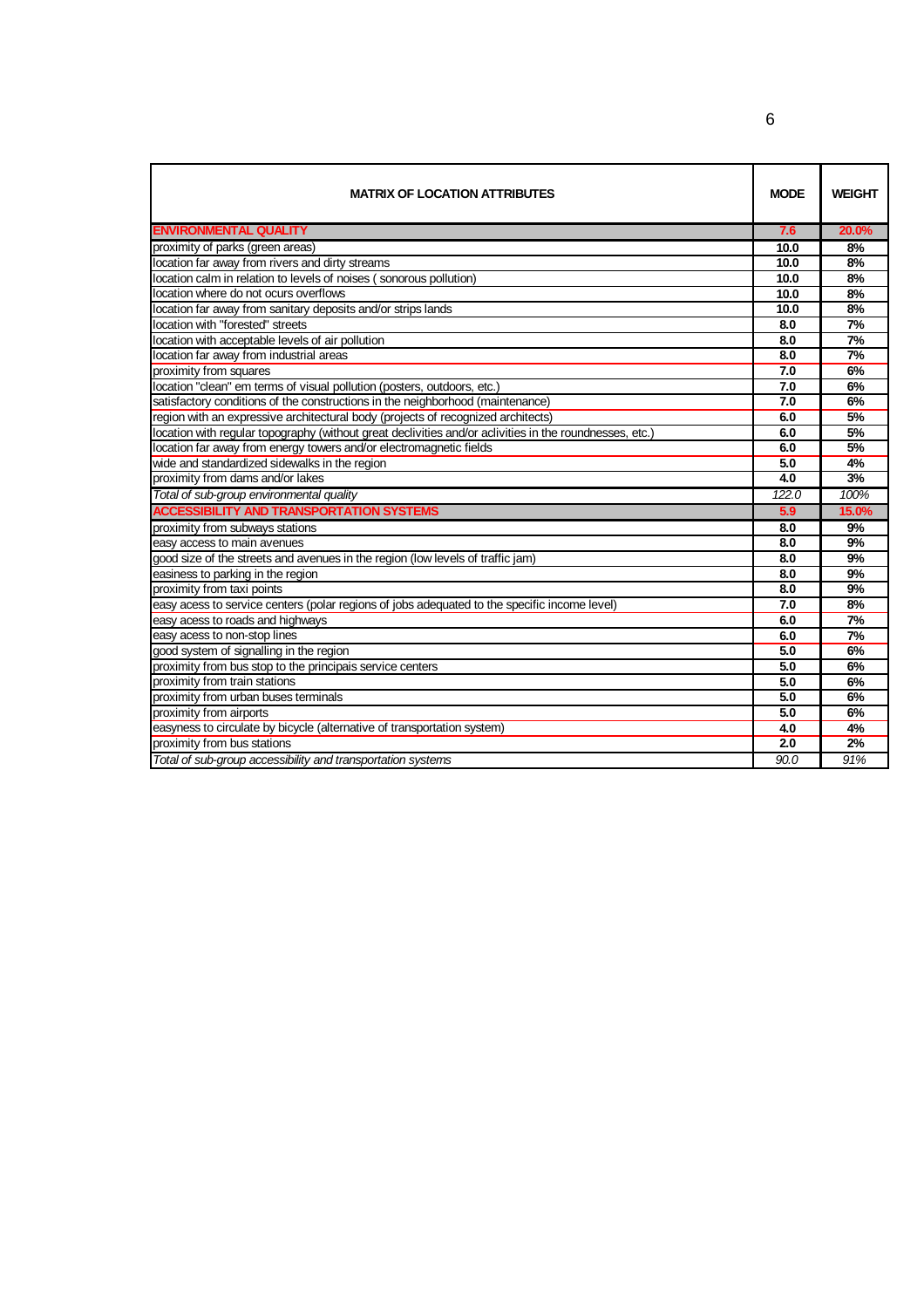| <b>MATRIX OF LOCATION ATTRIBUTES</b>                                                                    | <b>MODE</b> | <b>WEIGHT</b> |
|---------------------------------------------------------------------------------------------------------|-------------|---------------|
| <b>ENVIRONMENTAL QUALITY</b>                                                                            | 7.6         | 20.0%         |
| proximity of parks (green areas)                                                                        | 10.0        | 8%            |
| location far away from rivers and dirty streams                                                         | 10.0        | 8%            |
| location calm in relation to levels of noises (sonorous pollution)                                      | 10.0        | 8%            |
| location where do not ocurs overflows                                                                   | 10.0        | 8%            |
| location far away from sanitary deposits and/or strips lands                                            | 10.0        | 8%            |
| location with "forested" streets                                                                        | 8.0         | 7%            |
| location with acceptable levels of air pollution                                                        | 8.0         | 7%            |
| location far away from industrial areas                                                                 | 8.0         | 7%            |
| proximity from squares                                                                                  | 7.0         | 6%            |
| location "clean" em terms of visual pollution (posters, outdoors, etc.)                                 | 7.0         | 6%            |
| satisfactory conditions of the constructions in the neighborhood (maintenance)                          | 7.0         | 6%            |
| region with an expressive architectural body (projects of recognized architects)                        | 6.0         | 5%            |
| location with regular topography (without great declivities and/or aclivities in the roundnesses, etc.) | 6.0         | 5%            |
| location far away from energy towers and/or electromagnetic fields                                      | 6.0         | 5%            |
| wide and standardized sidewalks in the region                                                           | 5.0         | 4%            |
| proximity from dams and/or lakes                                                                        | 4.0         | 3%            |
| Total of sub-group environmental quality                                                                | 122.0       | 100%          |
| <b>ACCESSIBILITY AND TRANSPORTATION SYSTEMS</b>                                                         | 5.9         | 15.0%         |
| proximity from subways stations                                                                         | 8.0         | 9%            |
| easy access to main avenues                                                                             | 8.0         | 9%            |
| good size of the streets and avenues in the region (low levels of traffic jam)                          | 8.0         | 9%            |
| easiness to parking in the region                                                                       | 8.0         | 9%            |
| proximity from taxi points                                                                              | 8.0         | 9%            |
| easy acess to service centers (polar regions of jobs adequated to the specific income level)            | 7.0         | 8%            |
| easy acess to roads and highways                                                                        | 6.0         | 7%            |
| easy acess to non-stop lines                                                                            | 6.0         | 7%            |
| good system of signalling in the region                                                                 | 5.0         | 6%            |
| proximity from bus stop to the principais service centers                                               | 5.0         | 6%            |
| proximity from train stations                                                                           | 5.0         | 6%            |
| proximity from urban buses terminals                                                                    | 5.0         | 6%            |
| proximity from airports                                                                                 | 5.0         | 6%            |
| easyness to circulate by bicycle (alternative of transportation system)                                 | 4.0         | 4%            |
| proximity from bus stations                                                                             | 2.0         | 2%            |
| Total of sub-group accessibility and transportation systems                                             | 90.0        | 91%           |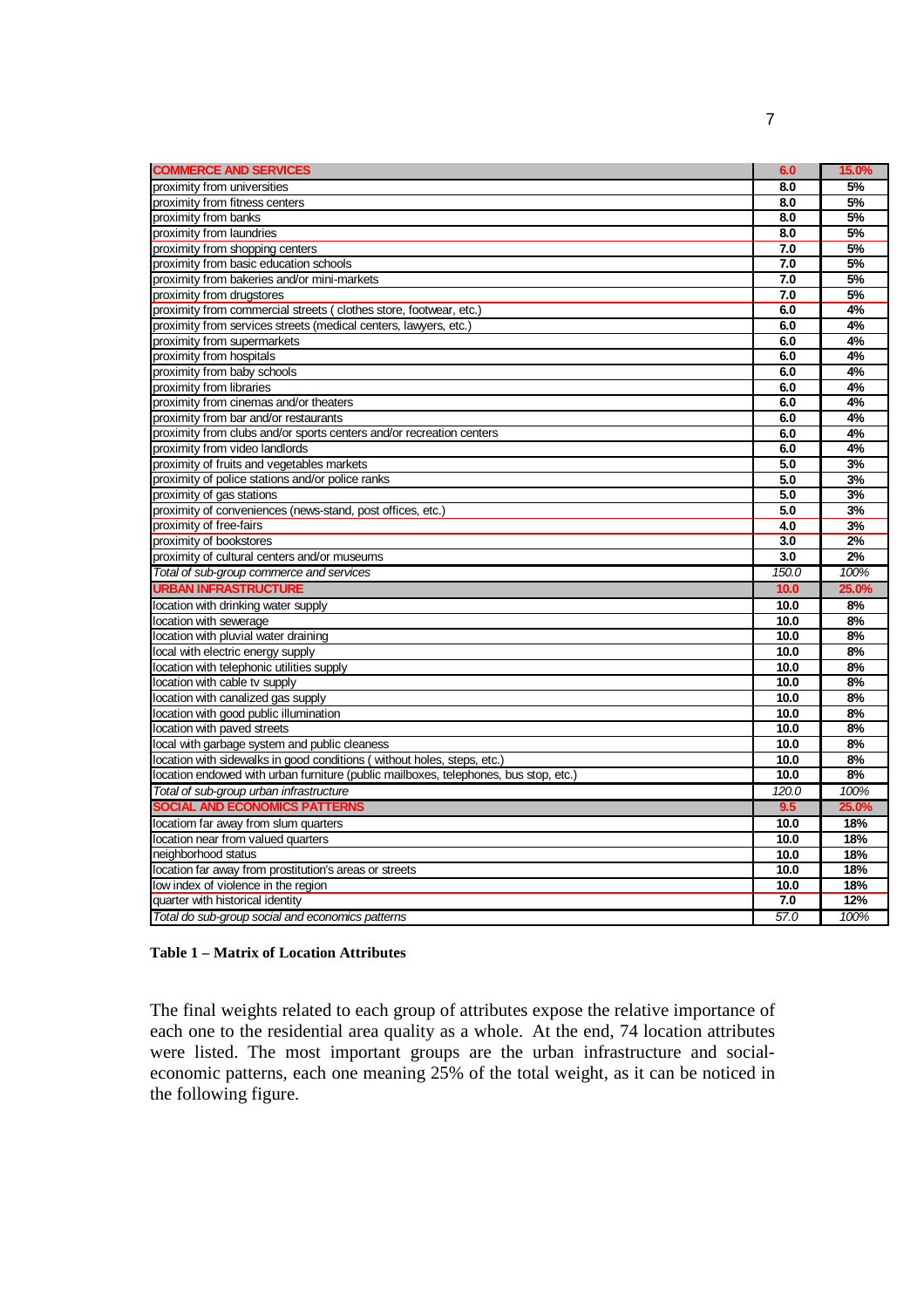| <b>COMMERCE AND SERVICES</b>                                                         | 6.0   | 15.0% |
|--------------------------------------------------------------------------------------|-------|-------|
| proximity from universities                                                          | 8.0   | 5%    |
| proximity from fitness centers                                                       | 8.0   | 5%    |
| proximity from banks                                                                 | 8.0   | 5%    |
| proximity from laundries                                                             | 8.0   | 5%    |
| proximity from shopping centers                                                      | 7.0   | 5%    |
| proximity from basic education schools                                               | 7.0   | 5%    |
| proximity from bakeries and/or mini-markets                                          | 7.0   | 5%    |
| proximity from drugstores                                                            | 7.0   | 5%    |
| proximity from commercial streets (clothes store, footwear, etc.)                    | 6.0   | 4%    |
| proximity from services streets (medical centers, lawyers, etc.)                     | 6.0   | 4%    |
| proximity from supermarkets                                                          | 6.0   | 4%    |
| proximity from hospitals                                                             | 6.0   | 4%    |
| proximity from baby schools                                                          | 6.0   | 4%    |
| proximity from libraries                                                             | 6.0   | 4%    |
| proximity from cinemas and/or theaters                                               | 6.0   | 4%    |
| proximity from bar and/or restaurants                                                | 6.0   | 4%    |
| proximity from clubs and/or sports centers and/or recreation centers                 | 6.0   | 4%    |
| proximity from video landlords                                                       | 6.0   | 4%    |
| proximity of fruits and vegetables markets                                           | 5.0   | 3%    |
| proximity of police stations and/or police ranks                                     | 5.0   | 3%    |
| proximity of gas stations                                                            | 5.0   | 3%    |
| proximity of conveniences (news-stand, post offices, etc.)                           | 5.0   | 3%    |
| proximity of free-fairs                                                              | 4.0   | 3%    |
| proximity of bookstores                                                              | 3.0   | 2%    |
| proximity of cultural centers and/or museums                                         | 3.0   | 2%    |
| Total of sub-group commerce and services                                             | 150.0 | 100%  |
| <b>URBAN INFRASTRUCTURE</b>                                                          | 10.0  | 25.0% |
| ocation with drinking water supply                                                   | 10.0  | 8%    |
| ocation with sewerage                                                                | 10.0  | 8%    |
| ocation with pluvial water draining                                                  | 10.0  | 8%    |
| ocal with electric energy supply                                                     | 10.0  | 8%    |
| ocation with telephonic utilities supply                                             | 10.0  | 8%    |
| ocation with cable tv supply                                                         | 10.0  | 8%    |
| location with canalized gas supply                                                   | 10.0  | 8%    |
| ocation with good public illumination                                                | 10.0  | 8%    |
| location with paved streets                                                          | 10.0  | 8%    |
| local with garbage system and public cleaness                                        | 10.0  | 8%    |
| location with sidewalks in good conditions (without holes, steps, etc.)              | 10.0  | 8%    |
| location endowed with urban furniture (public mailboxes, telephones, bus stop, etc.) | 10.0  | 8%    |
| Total of sub-group urban infrastructure                                              | 120.0 | 100%  |
| SOCIAL AND ECONOMICS PATTERNS                                                        | 9.5   | 25.0% |
| locatiom far away from slum quarters                                                 | 10.0  | 18%   |
| location near from valued quarters                                                   | 10.0  | 18%   |
| neiahborhood status                                                                  | 10.0  | 18%   |
| location far away from prostitution's areas or streets                               | 10.0  | 18%   |
| low index of violence in the region                                                  | 10.0  | 18%   |
| quarter with historical identity                                                     | 7.0   | 12%   |
| Total do sub-group social and economics patterns                                     | 57.0  | 100%  |

### **Table 1 – Matrix of Location Attributes**

The final weights related to each group of attributes expose the relative importance of each one to the residential area quality as a whole. At the end, 74 location attributes were listed. The most important groups are the urban infrastructure and socialeconomic patterns, each one meaning 25% of the total weight, as it can be noticed in the following figure.

7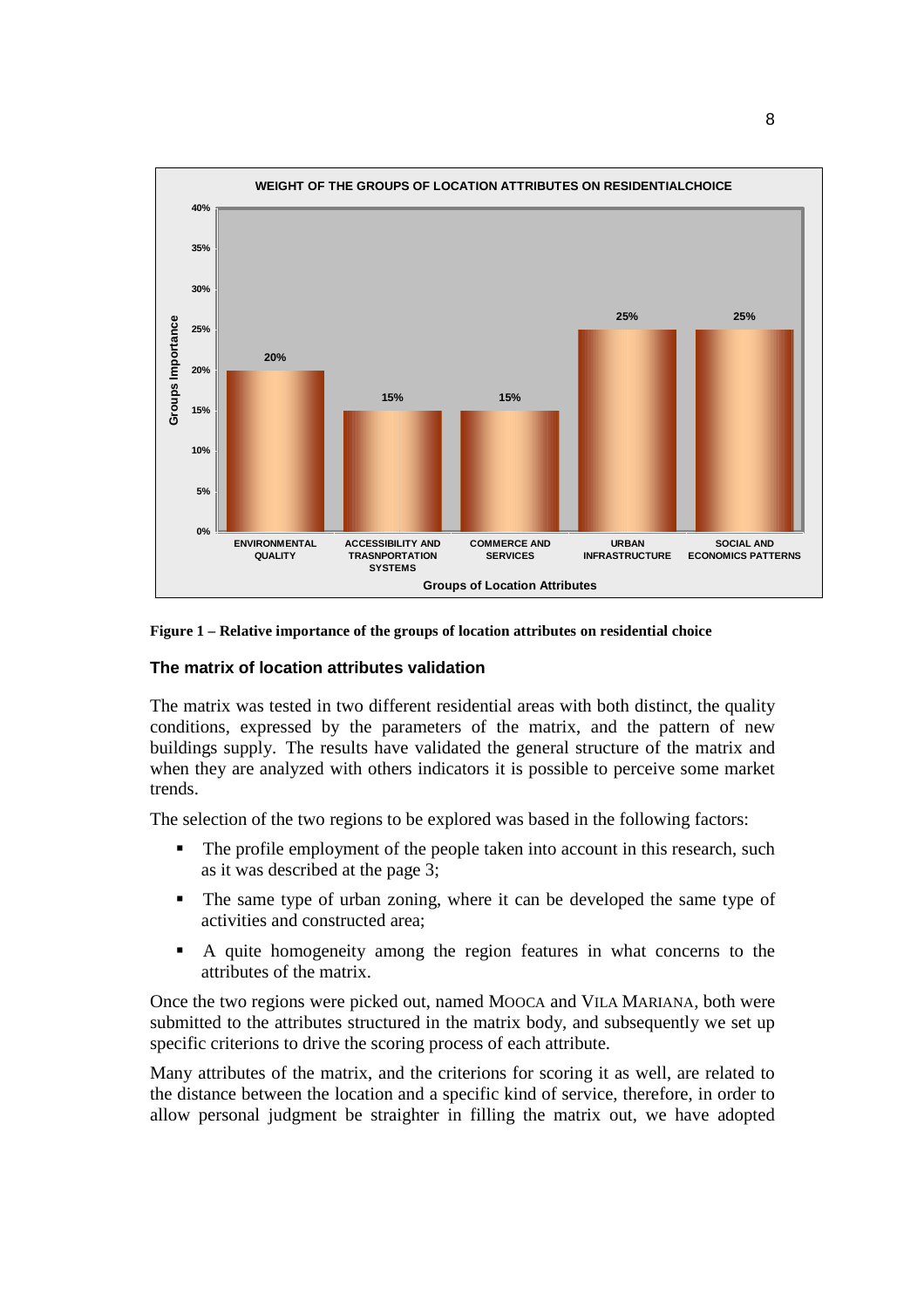

#### **Figure 1 – Relative importance of the groups of location attributes on residential choice**

#### **The matrix of location attributes validation**

The matrix was tested in two different residential areas with both distinct, the quality conditions, expressed by the parameters of the matrix, and the pattern of new buildings supply. The results have validated the general structure of the matrix and when they are analyzed with others indicators it is possible to perceive some market trends.

The selection of the two regions to be explored was based in the following factors:

- ! The profile employment of the people taken into account in this research, such as it was described at the page 3;
- ! The same type of urban zoning, where it can be developed the same type of activities and constructed area;
- ! A quite homogeneity among the region features in what concerns to the attributes of the matrix.

Once the two regions were picked out, named MOOCA and VILA MARIANA, both were submitted to the attributes structured in the matrix body, and subsequently we set up specific criterions to drive the scoring process of each attribute.

Many attributes of the matrix, and the criterions for scoring it as well, are related to the distance between the location and a specific kind of service, therefore, in order to allow personal judgment be straighter in filling the matrix out, we have adopted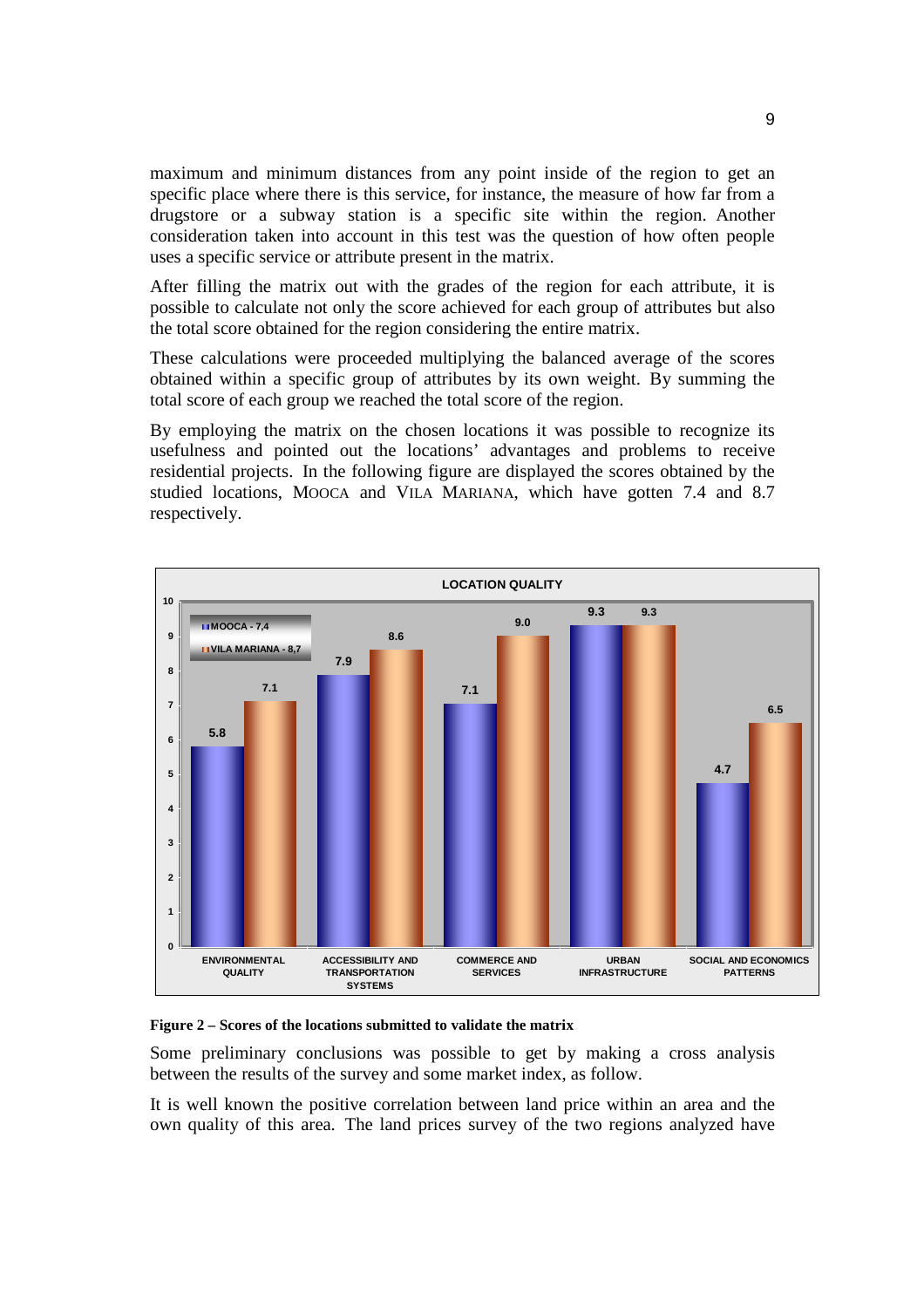maximum and minimum distances from any point inside of the region to get an specific place where there is this service, for instance, the measure of how far from a drugstore or a subway station is a specific site within the region. Another consideration taken into account in this test was the question of how often people uses a specific service or attribute present in the matrix.

After filling the matrix out with the grades of the region for each attribute, it is possible to calculate not only the score achieved for each group of attributes but also the total score obtained for the region considering the entire matrix.

These calculations were proceeded multiplying the balanced average of the scores obtained within a specific group of attributes by its own weight. By summing the total score of each group we reached the total score of the region.

By employing the matrix on the chosen locations it was possible to recognize its usefulness and pointed out the locations' advantages and problems to receive residential projects. In the following figure are displayed the scores obtained by the studied locations, MOOCA and VILA MARIANA, which have gotten 7.4 and 8.7 respectively.



#### **Figure 2 – Scores of the locations submitted to validate the matrix**

Some preliminary conclusions was possible to get by making a cross analysis between the results of the survey and some market index, as follow.

It is well known the positive correlation between land price within an area and the own quality of this area. The land prices survey of the two regions analyzed have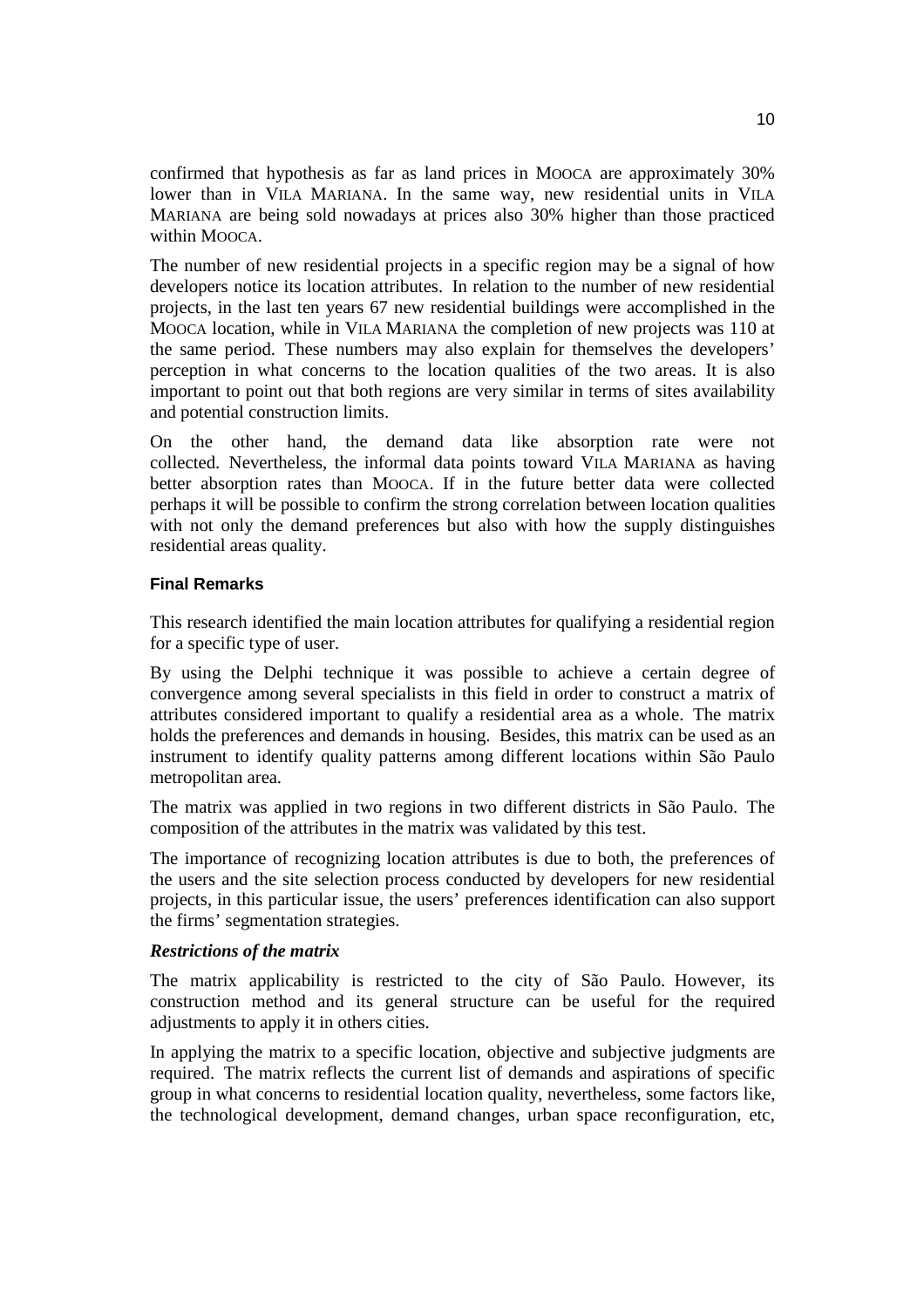confirmed that hypothesis as far as land prices in MOOCA are approximately 30% lower than in VILA MARIANA. In the same way, new residential units in VILA MARIANA are being sold nowadays at prices also 30% higher than those practiced within MOOCA.

The number of new residential projects in a specific region may be a signal of how developers notice its location attributes. In relation to the number of new residential projects, in the last ten years 67 new residential buildings were accomplished in the MOOCA location, while in VILA MARIANA the completion of new projects was 110 at the same period. These numbers may also explain for themselves the developers' perception in what concerns to the location qualities of the two areas. It is also important to point out that both regions are very similar in terms of sites availability and potential construction limits.

On the other hand, the demand data like absorption rate were not collected. Nevertheless, the informal data points toward VILA MARIANA as having better absorption rates than MOOCA. If in the future better data were collected perhaps it will be possible to confirm the strong correlation between location qualities with not only the demand preferences but also with how the supply distinguishes residential areas quality.

# **Final Remarks**

This research identified the main location attributes for qualifying a residential region for a specific type of user.

By using the Delphi technique it was possible to achieve a certain degree of convergence among several specialists in this field in order to construct a matrix of attributes considered important to qualify a residential area as a whole. The matrix holds the preferences and demands in housing. Besides, this matrix can be used as an instrument to identify quality patterns among different locations within São Paulo metropolitan area.

The matrix was applied in two regions in two different districts in São Paulo. The composition of the attributes in the matrix was validated by this test.

The importance of recognizing location attributes is due to both, the preferences of the users and the site selection process conducted by developers for new residential projects, in this particular issue, the users' preferences identification can also support the firms' segmentation strategies.

### *Restrictions of the matrix*

The matrix applicability is restricted to the city of São Paulo. However, its construction method and its general structure can be useful for the required adjustments to apply it in others cities.

In applying the matrix to a specific location, objective and subjective judgments are required. The matrix reflects the current list of demands and aspirations of specific group in what concerns to residential location quality, nevertheless, some factors like, the technological development, demand changes, urban space reconfiguration, etc,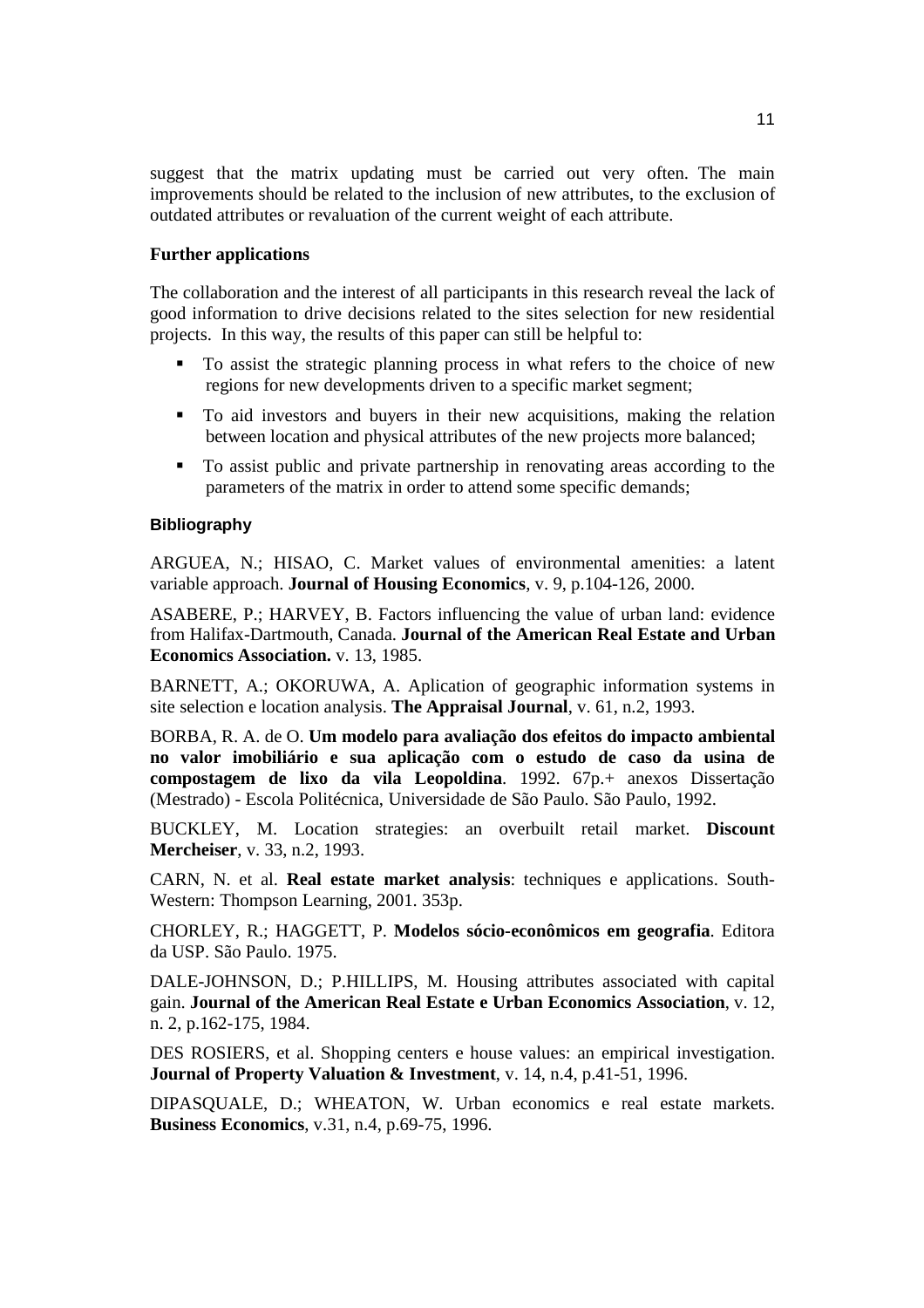suggest that the matrix updating must be carried out very often. The main improvements should be related to the inclusion of new attributes, to the exclusion of outdated attributes or revaluation of the current weight of each attribute.

# **Further applications**

The collaboration and the interest of all participants in this research reveal the lack of good information to drive decisions related to the sites selection for new residential projects. In this way, the results of this paper can still be helpful to:

- ! To assist the strategic planning process in what refers to the choice of new regions for new developments driven to a specific market segment;
- ! To aid investors and buyers in their new acquisitions, making the relation between location and physical attributes of the new projects more balanced;
- ! To assist public and private partnership in renovating areas according to the parameters of the matrix in order to attend some specific demands;

### **Bibliography**

ARGUEA, N.; HISAO, C. Market values of environmental amenities: a latent variable approach. **Journal of Housing Economics**, v. 9, p.104-126, 2000.

ASABERE, P.; HARVEY, B. Factors influencing the value of urban land: evidence from Halifax-Dartmouth, Canada. **Journal of the American Real Estate and Urban Economics Association.** v. 13, 1985.

BARNETT, A.; OKORUWA, A. Aplication of geographic information systems in site selection e location analysis. **The Appraisal Journal**, v. 61, n.2, 1993.

BORBA, R. A. de O. **Um modelo para avaliação dos efeitos do impacto ambiental no valor imobiliário e sua aplicação com o estudo de caso da usina de compostagem de lixo da vila Leopoldina**. 1992. 67p.+ anexos Dissertação (Mestrado) - Escola Politécnica, Universidade de São Paulo. São Paulo, 1992.

BUCKLEY, M. Location strategies: an overbuilt retail market. **Discount Mercheiser**, v. 33, n.2, 1993.

CARN, N. et al. **Real estate market analysis**: techniques e applications. South-Western: Thompson Learning, 2001. 353p.

CHORLEY, R.; HAGGETT, P. **Modelos sócio-econômicos em geografia**. Editora da USP. São Paulo. 1975.

DALE-JOHNSON, D.; P.HILLIPS, M. Housing attributes associated with capital gain. **Journal of the American Real Estate e Urban Economics Association**, v. 12, n. 2, p.162-175, 1984.

DES ROSIERS, et al. Shopping centers e house values: an empirical investigation. **Journal of Property Valuation & Investment**, v. 14, n.4, p.41-51, 1996.

DIPASQUALE, D.; WHEATON, W. Urban economics e real estate markets. **Business Economics**, v.31, n.4, p.69-75, 1996.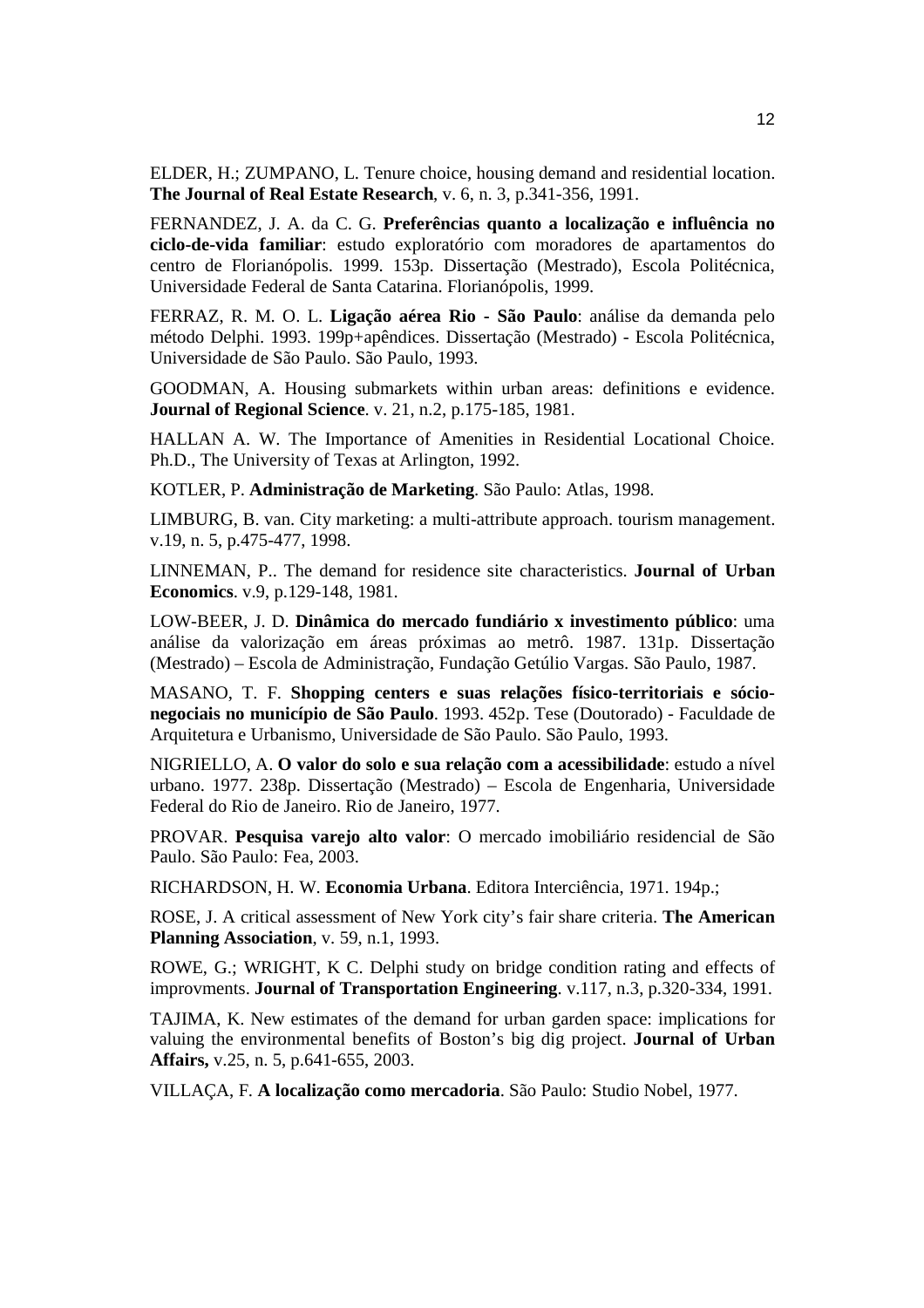ELDER, H.; ZUMPANO, L. Tenure choice, housing demand and residential location. **The Journal of Real Estate Research**, v. 6, n. 3, p.341-356, 1991.

FERNANDEZ, J. A. da C. G. **Preferências quanto a localização e influência no ciclo-de-vida familiar**: estudo exploratório com moradores de apartamentos do centro de Florianópolis. 1999. 153p. Dissertação (Mestrado), Escola Politécnica, Universidade Federal de Santa Catarina. Florianópolis, 1999.

FERRAZ, R. M. O. L. **Ligação aérea Rio - São Paulo**: análise da demanda pelo método Delphi. 1993. 199p+apêndices. Dissertação (Mestrado) - Escola Politécnica, Universidade de São Paulo. São Paulo, 1993.

GOODMAN, A. Housing submarkets within urban areas: definitions e evidence. **Journal of Regional Science**. v. 21, n.2, p.175-185, 1981.

HALLAN A. W. The Importance of Amenities in Residential Locational Choice. Ph.D., The University of Texas at Arlington, 1992.

KOTLER, P. **Administração de Marketing**. São Paulo: Atlas, 1998.

LIMBURG, B. van. City marketing: a multi-attribute approach. tourism management. v.19, n. 5, p.475-477, 1998.

LINNEMAN, P.. The demand for residence site characteristics. **Journal of Urban Economics**. v.9, p.129-148, 1981.

LOW-BEER, J. D. **Dinâmica do mercado fundiário x investimento público**: uma análise da valorização em áreas próximas ao metrô. 1987. 131p. Dissertação (Mestrado) – Escola de Administração, Fundação Getúlio Vargas. São Paulo, 1987.

MASANO, T. F. **Shopping centers e suas relações físico-territoriais e sócionegociais no município de São Paulo**. 1993. 452p. Tese (Doutorado) - Faculdade de Arquitetura e Urbanismo, Universidade de São Paulo. São Paulo, 1993.

NIGRIELLO, A. **O valor do solo e sua relação com a acessibilidade**: estudo a nível urbano. 1977. 238p. Dissertação (Mestrado) – Escola de Engenharia, Universidade Federal do Rio de Janeiro. Rio de Janeiro, 1977.

PROVAR. **Pesquisa varejo alto valor**: O mercado imobiliário residencial de São Paulo. São Paulo: Fea, 2003.

RICHARDSON, H. W. **Economia Urbana**. Editora Interciência, 1971. 194p.;

ROSE, J. A critical assessment of New York city's fair share criteria. **The American Planning Association**, v. 59, n.1, 1993.

ROWE, G.; WRIGHT, K C. Delphi study on bridge condition rating and effects of improvments. **Journal of Transportation Engineering**. v.117, n.3, p.320-334, 1991.

TAJIMA, K. New estimates of the demand for urban garden space: implications for valuing the environmental benefits of Boston's big dig project. **Journal of Urban Affairs,** v.25, n. 5, p.641-655, 2003.

VILLAÇA, F. **A localização como mercadoria**. São Paulo: Studio Nobel, 1977.